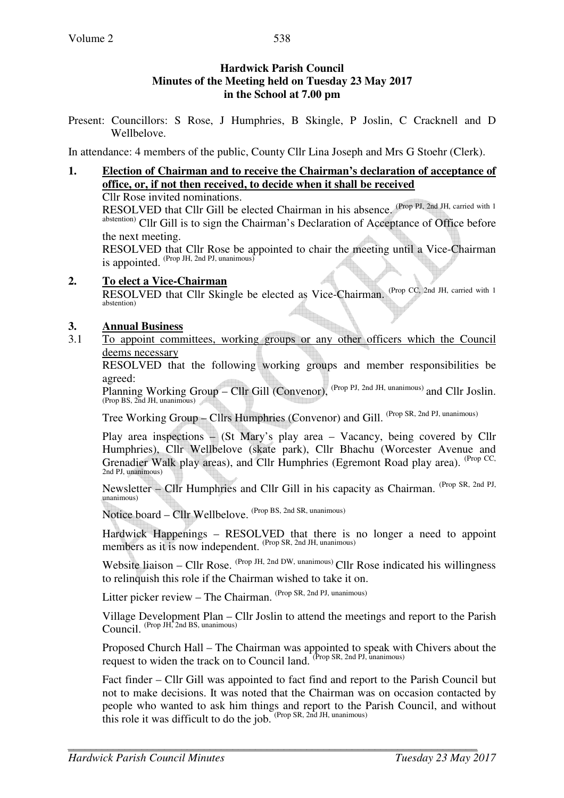## **Hardwick Parish Council Minutes of the Meeting held on Tuesday 23 May 2017 in the School at 7.00 pm**

Present: Councillors: S Rose, J Humphries, B Skingle, P Joslin, C Cracknell and D Wellbelove.

In attendance: 4 members of the public, County Cllr Lina Joseph and Mrs G Stoehr (Clerk).

# **1. Election of Chairman and to receive the Chairman's declaration of acceptance of office, or, if not then received, to decide when it shall be received**

Cllr Rose invited nominations.

RESOLVED that Cllr Gill be elected Chairman in his absence. (Prop PJ, 2nd JH, carried with 1) abstention) Cllr Gill is to sign the Chairman's Declaration of Acceptance of Office before the next meeting.

RESOLVED that Cllr Rose be appointed to chair the meeting until a Vice-Chairman is appointed.  $P_{\text{top}}$   $\overrightarrow{H}$ ,  $2$ nd PJ, unanimous)

**2. To elect a Vice-Chairman** RESOLVED that Cllr Skingle be elected as Vice-Chairman. (Prop CC, 2nd JH, carried with 1) abstention)

### **3. Annual Business**

3.1 To appoint committees, working groups or any other officers which the Council deems necessary

 RESOLVED that the following working groups and member responsibilities be agreed:

Planning Working Group – Cllr Gill (Convenor), <sup>(Prop PJ, 2nd JH, unanimous)</sup> and Cllr Joslin.<br>(Prop BS, 2nd JH, unanimous)

Tree Working Group – Cllrs Humphries (Convenor) and Gill. (Prop SR, 2nd PJ, unanimous)

Play area inspections – (St Mary's play area – Vacancy, being covered by Cllr Humphries), Cllr Wellbelove (skate park), Cllr Bhachu (Worcester Avenue and Grenadier Walk play areas), and Cllr Humphries (Egremont Road play area). <sup>(Prop CC,</sup> 2nd PJ, unanimous)

Newsletter – Cllr Humphries and Cllr Gill in his capacity as Chairman. (Prop SR, 2nd PJ, unanimous)

Notice board – Cllr Wellbelove. (Prop BS, 2nd SR, unanimous)

Hardwick Happenings – RESOLVED that there is no longer a need to appoint members as it is now independent. (Prop SR, 2nd JH, unanimous)

Website liaison – Cllr Rose. <sup>(Prop JH, 2nd DW, unanimous)</sup> Cllr Rose indicated his willingness to relinquish this role if the Chairman wished to take it on.

Litter picker review - The Chairman. (Prop SR, 2nd PJ, unanimous)

Village Development Plan – Cllr Joslin to attend the meetings and report to the Parish Council. (Prop JH, 2nd BS, unanimous)

Proposed Church Hall – The Chairman was appointed to speak with Chivers about the request to widen the track on to Council land. (Prop SR, 2nd PJ, unanimous)

Fact finder – Cllr Gill was appointed to fact find and report to the Parish Council but not to make decisions. It was noted that the Chairman was on occasion contacted by people who wanted to ask him things and report to the Parish Council, and without this role it was difficult to do the job.  $(Prop SR, 2nd JH, unanimous)$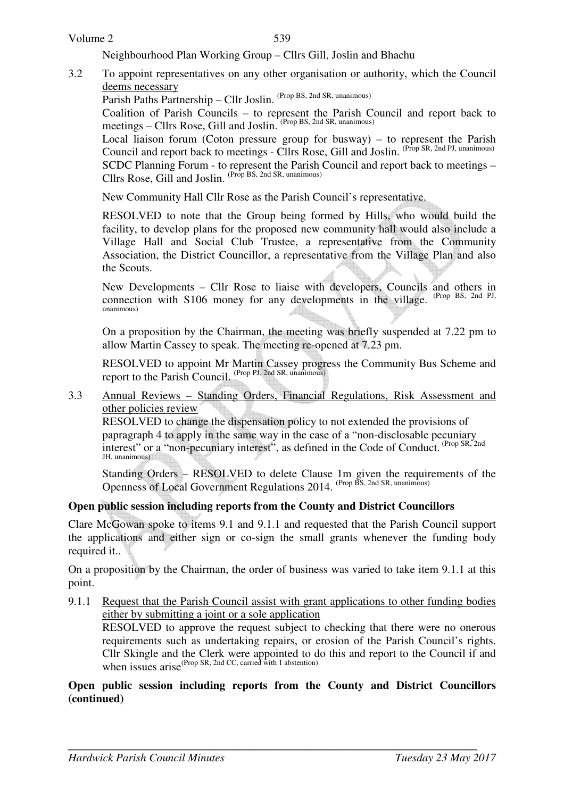#### Volume 2

539

Neighbourhood Plan Working Group – Cllrs Gill, Joslin and Bhachu

- 3.2 To appoint representatives on any other organisation or authority, which the Council deems necessary
	- Parish Paths Partnership Cllr Joslin. (Prop BS, 2nd SR, unanimous)

Coalition of Parish Councils – to represent the Parish Council and report back to meetings – Cllrs Rose, Gill and Joslin. <sup>(Prop BS, 2nd SR, unanimous)</sup>

Local liaison forum (Coton pressure group for busway) – to represent the Parish Council and report back to meetings - Cllrs Rose, Gill and Joslin. (Prop SR, 2nd PJ, unanimous)

SCDC Planning Forum - to represent the Parish Council and report back to meetings – Cllrs Rose, Gill and Joslin. (Prop BS, 2nd SR, unanimous)

New Community Hall Cllr Rose as the Parish Council's representative.

RESOLVED to note that the Group being formed by Hills, who would build the facility, to develop plans for the proposed new community hall would also include a Village Hall and Social Club Trustee, a representative from the Community Association, the District Councillor, a representative from the Village Plan and also the Scouts.

New Developments – Cllr Rose to liaise with developers, Councils and others in connection with S106 money for any developments in the village. (Prop BS, 2nd PJ, unanimous)

On a proposition by the Chairman, the meeting was briefly suspended at 7.22 pm to allow Martin Cassey to speak. The meeting re-opened at 7.23 pm.

RESOLVED to appoint Mr Martin Cassey progress the Community Bus Scheme and report to the Parish Council. (Prop PJ, 2nd SR, unanimous)

3.3 Annual Reviews – Standing Orders, Financial Regulations, Risk Assessment and other policies review

RESOLVED to change the dispensation policy to not extended the provisions of papragraph 4 to apply in the same way in the case of a "non-disclosable pecuniary interest" or a "non-pecuniary interest", as defined in the Code of Conduct. (Prop SR, 2nd JH, unanimous)

Standing Orders – RESOLVED to delete Clause 1m given the requirements of the Openness of Local Government Regulations 2014. (Prop BS, 2nd SR, unanimous)

## **Open public session including reports from the County and District Councillors**

Clare McGowan spoke to items 9.1 and 9.1.1 and requested that the Parish Council support the applications and either sign or co-sign the small grants whenever the funding body required it..

On a proposition by the Chairman, the order of business was varied to take item 9.1.1 at this point.

9.1.1 Request that the Parish Council assist with grant applications to other funding bodies either by submitting a joint or a sole application

RESOLVED to approve the request subject to checking that there were no onerous requirements such as undertaking repairs, or erosion of the Parish Council's rights. Cllr Skingle and the Clerk were appointed to do this and report to the Council if and when issues  $arise^{(Prop SR, 2nd CC, carried with 1 abstraction)}$ 

### **Open public session including reports from the County and District Councillors (continued)**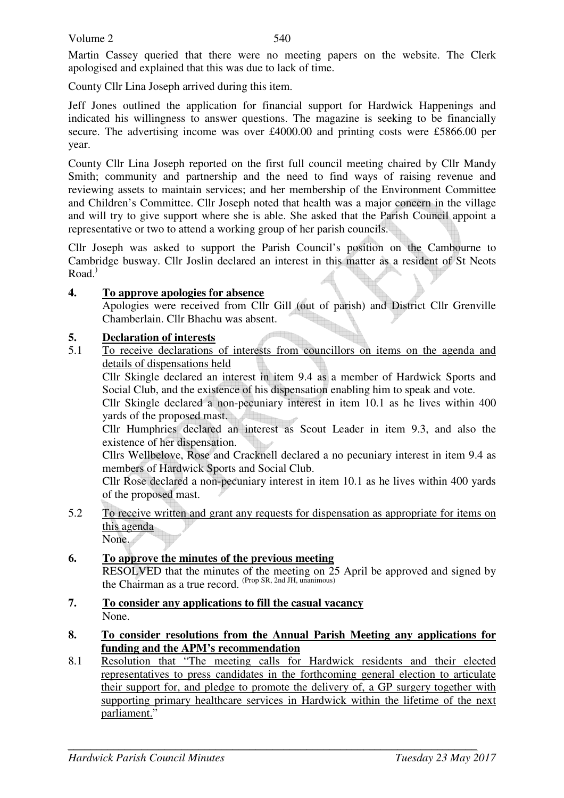Martin Cassey queried that there were no meeting papers on the website. The Clerk apologised and explained that this was due to lack of time.

County Cllr Lina Joseph arrived during this item.

Jeff Jones outlined the application for financial support for Hardwick Happenings and indicated his willingness to answer questions. The magazine is seeking to be financially secure. The advertising income was over £4000.00 and printing costs were £5866.00 per year.

County Cllr Lina Joseph reported on the first full council meeting chaired by Cllr Mandy Smith; community and partnership and the need to find ways of raising revenue and reviewing assets to maintain services; and her membership of the Environment Committee and Children's Committee. Cllr Joseph noted that health was a major concern in the village and will try to give support where she is able. She asked that the Parish Council appoint a representative or two to attend a working group of her parish councils.

Cllr Joseph was asked to support the Parish Council's position on the Cambourne to Cambridge busway. Cllr Joslin declared an interest in this matter as a resident of St Neots Road.)

## **4. To approve apologies for absence**

Apologies were received from Cllr Gill (out of parish) and District Cllr Grenville Chamberlain. Cllr Bhachu was absent.

# **5. Declaration of interests**<br>5.1 To receive declarations

5.1 To receive declarations of interests from councillors on items on the agenda and details of dispensations held

Cllr Skingle declared an interest in item 9.4 as a member of Hardwick Sports and Social Club, and the existence of his dispensation enabling him to speak and vote.

Cllr Skingle declared a non-pecuniary interest in item 10.1 as he lives within 400 yards of the proposed mast.

Cllr Humphries declared an interest as Scout Leader in item 9.3, and also the existence of her dispensation.

Cllrs Wellbelove, Rose and Cracknell declared a no pecuniary interest in item 9.4 as members of Hardwick Sports and Social Club.

Cllr Rose declared a non-pecuniary interest in item 10.1 as he lives within 400 yards of the proposed mast.

5.2 To receive written and grant any requests for dispensation as appropriate for items on this agenda

None.

# **6. To approve the minutes of the previous meeting**

RESOLVED that the minutes of the meeting on 25 April be approved and signed by the Chairman as a true record. (Prop SR, 2nd JH, unanimous)

- **7. To consider any applications to fill the casual vacancy** None.
- **8. To consider resolutions from the Annual Parish Meeting any applications for funding and the APM's recommendation**
- 8.1 Resolution that "The meeting calls for Hardwick residents and their elected representatives to press candidates in the forthcoming general election to articulate their support for, and pledge to promote the delivery of, a GP surgery together with supporting primary healthcare services in Hardwick within the lifetime of the next parliament."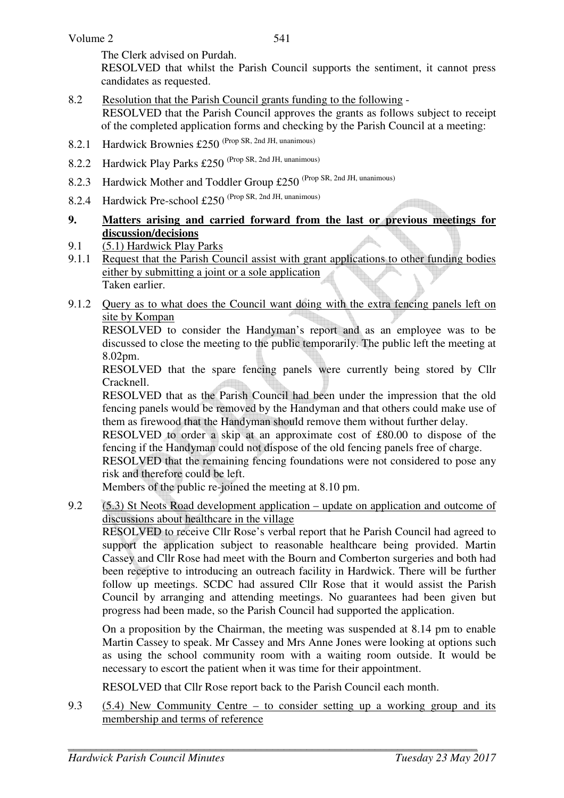The Clerk advised on Purdah.

RESOLVED that whilst the Parish Council supports the sentiment, it cannot press candidates as requested.

- 8.2 Resolution that the Parish Council grants funding to the following RESOLVED that the Parish Council approves the grants as follows subject to receipt of the completed application forms and checking by the Parish Council at a meeting:
- 8.2.1 Hardwick Brownies £250 (Prop SR, 2nd JH, unanimous)
- 8.2.2 Hardwick Play Parks £250 (Prop SR, 2nd JH, unanimous)
- 8.2.3 Hardwick Mother and Toddler Group £250 (Prop SR, 2nd JH, unanimous)
- 8.2.4 Hardwick Pre-school £250 (Prop SR, 2nd JH, unanimous)

## **9. Matters arising and carried forward from the last or previous meetings for discussion/decisions**

- 9.1 (5.1) Hardwick Play Parks
- 9.1.1 Request that the Parish Council assist with grant applications to other funding bodies either by submitting a joint or a sole application Taken earlier.
- 9.1.2 Query as to what does the Council want doing with the extra fencing panels left on site by Kompan

RESOLVED to consider the Handyman's report and as an employee was to be discussed to close the meeting to the public temporarily. The public left the meeting at 8.02pm.

RESOLVED that the spare fencing panels were currently being stored by Cllr Cracknell.

RESOLVED that as the Parish Council had been under the impression that the old fencing panels would be removed by the Handyman and that others could make use of them as firewood that the Handyman should remove them without further delay.

RESOLVED to order a skip at an approximate cost of £80.00 to dispose of the fencing if the Handyman could not dispose of the old fencing panels free of charge.

RESOLVED that the remaining fencing foundations were not considered to pose any risk and therefore could be left.

Members of the public re-joined the meeting at 8.10 pm.

9.2 (5.3) St Neots Road development application – update on application and outcome of discussions about healthcare in the village

RESOLVED to receive Cllr Rose's verbal report that he Parish Council had agreed to support the application subject to reasonable healthcare being provided. Martin Cassey and Cllr Rose had meet with the Bourn and Comberton surgeries and both had been receptive to introducing an outreach facility in Hardwick. There will be further follow up meetings. SCDC had assured Cllr Rose that it would assist the Parish Council by arranging and attending meetings. No guarantees had been given but progress had been made, so the Parish Council had supported the application.

On a proposition by the Chairman, the meeting was suspended at 8.14 pm to enable Martin Cassey to speak. Mr Cassey and Mrs Anne Jones were looking at options such as using the school community room with a waiting room outside. It would be necessary to escort the patient when it was time for their appointment.

RESOLVED that Cllr Rose report back to the Parish Council each month.

9.3 (5.4) New Community Centre – to consider setting up a working group and its membership and terms of reference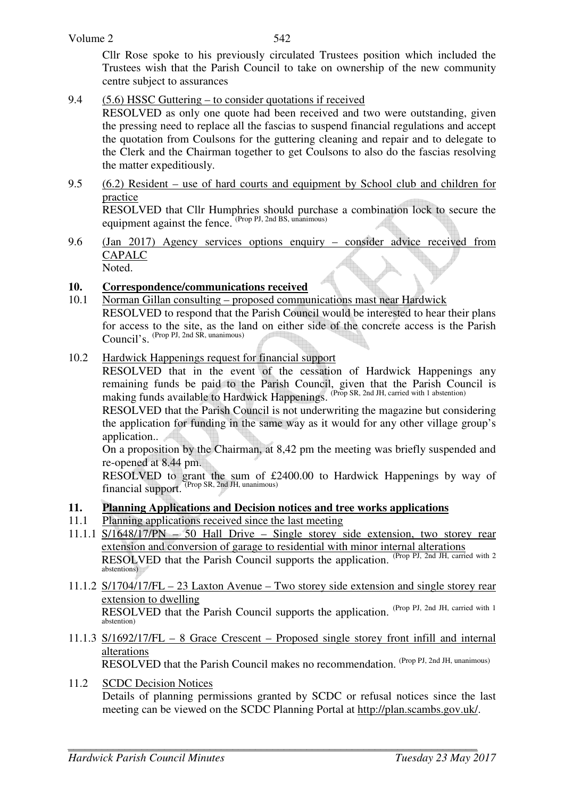Cllr Rose spoke to his previously circulated Trustees position which included the Trustees wish that the Parish Council to take on ownership of the new community centre subject to assurances

9.4 (5.6) HSSC Guttering – to consider quotations if received

RESOLVED as only one quote had been received and two were outstanding, given the pressing need to replace all the fascias to suspend financial regulations and accept the quotation from Coulsons for the guttering cleaning and repair and to delegate to the Clerk and the Chairman together to get Coulsons to also do the fascias resolving the matter expeditiously.

9.5 (6.2) Resident – use of hard courts and equipment by School club and children for practice

RESOLVED that Cllr Humphries should purchase a combination lock to secure the equipment against the fence. (Prop PJ, 2nd BS, unanimous)

9.6 (Jan 2017) Agency services options enquiry – consider advice received from CAPALC Noted.

## **10. Correspondence/communications received**

- 10.1 Norman Gillan consulting proposed communications mast near Hardwick RESOLVED to respond that the Parish Council would be interested to hear their plans for access to the site, as the land on either side of the concrete access is the Parish Council's. (Prop PJ, 2nd SR, unanimous)
- 10.2 Hardwick Happenings request for financial support

RESOLVED that in the event of the cessation of Hardwick Happenings any remaining funds be paid to the Parish Council, given that the Parish Council is making funds available to Hardwick Happenings. (Prop SR, 2nd JH, carried with 1 abstention)

RESOLVED that the Parish Council is not underwriting the magazine but considering the application for funding in the same way as it would for any other village group's application..

On a proposition by the Chairman, at 8,42 pm the meeting was briefly suspended and re-opened at 8.44 pm.

RESOLVED to grant the sum of £2400.00 to Hardwick Happenings by way of financial support. (Prop SR, 2nd JH, unanimous)

## **11. Planning Applications and Decision notices and tree works applications**

- 11.1 Planning applications received since the last meeting
- 11.1.1 S/1648/17/PN 50 Hall Drive Single storey side extension, two storey rear extension and conversion of garage to residential with minor internal alterations RESOLVED that the Parish Council supports the application. (Prop PJ, 2nd JH, carried with 2) abstentions)
- 11.1.2 S/1704/17/FL 23 Laxton Avenue Two storey side extension and single storey rear extension to dwelling RESOLVED that the Parish Council supports the application. (Prop PJ, 2nd JH, carried with 1) abstention)
- 11.1.3 S/1692/17/FL 8 Grace Crescent Proposed single storey front infill and internal alterations RESOLVED that the Parish Council makes no recommendation. (Prop PJ, 2nd JH, unanimous)
- 11.2 SCDC Decision Notices Details of planning permissions granted by SCDC or refusal notices since the last meeting can be viewed on the SCDC Planning Portal at http://plan.scambs.gov.uk/.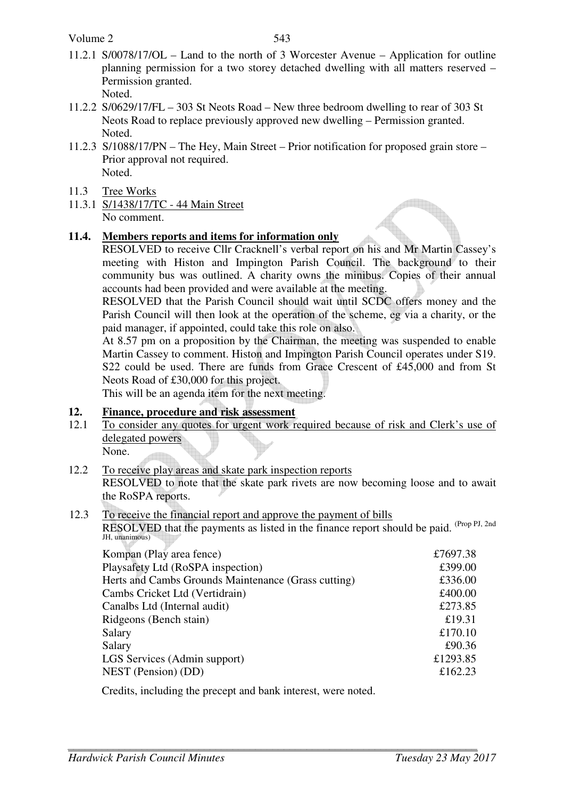Volume 2

11.2.1 S/0078/17/OL – Land to the north of 3 Worcester Avenue – Application for outline planning permission for a two storey detached dwelling with all matters reserved – Permission granted.

Noted.

- 11.2.2 S/0629/17/FL 303 St Neots Road New three bedroom dwelling to rear of 303 St Neots Road to replace previously approved new dwelling – Permission granted. Noted.
- 11.2.3 S/1088/17/PN The Hey, Main Street Prior notification for proposed grain store Prior approval not required. Noted.
- 11.3 Tree Works
- 11.3.1 S/1438/17/TC 44 Main Street No comment.

## **11.4. Members reports and items for information only**

 RESOLVED to receive Cllr Cracknell's verbal report on his and Mr Martin Cassey's meeting with Histon and Impington Parish Council. The background to their community bus was outlined. A charity owns the minibus. Copies of their annual accounts had been provided and were available at the meeting.

RESOLVED that the Parish Council should wait until SCDC offers money and the Parish Council will then look at the operation of the scheme, eg via a charity, or the paid manager, if appointed, could take this role on also.

At 8.57 pm on a proposition by the Chairman, the meeting was suspended to enable Martin Cassey to comment. Histon and Impington Parish Council operates under S19. S22 could be used. There are funds from Grace Crescent of £45,000 and from St Neots Road of £30,000 for this project.

This will be an agenda item for the next meeting.

## **12. Finance, procedure and risk assessment**

12.1 To consider any quotes for urgent work required because of risk and Clerk's use of delegated powers

None.

- 12.2 To receive play areas and skate park inspection reports RESOLVED to note that the skate park rivets are now becoming loose and to await the RoSPA reports.
- 12.3 To receive the financial report and approve the payment of bills

RESOLVED that the payments as listed in the finance report should be paid. (Prop PJ, 2nd) JH, unanimous)

| Kompan (Play area fence)                            | £7697.38 |
|-----------------------------------------------------|----------|
| Playsafety Ltd (RoSPA inspection)                   | £399.00  |
| Herts and Cambs Grounds Maintenance (Grass cutting) | £336.00  |
| Cambs Cricket Ltd (Vertidrain)                      | £400.00  |
| Canalbs Ltd (Internal audit)                        | £273.85  |
| Ridgeons (Bench stain)                              | £19.31   |
| Salary                                              | £170.10  |
| Salary                                              | £90.36   |
| LGS Services (Admin support)                        | £1293.85 |
| NEST (Pension) (DD)                                 | £162.23  |
|                                                     |          |

Credits, including the precept and bank interest, were noted.